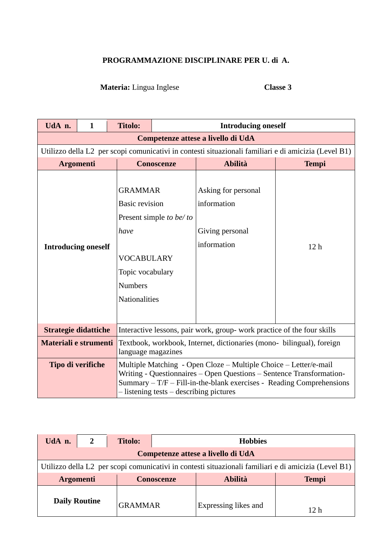## **PROGRAMMAZIONE DISCIPLINARE PER U. di A.**

## **Materia:** Lingua Inglese **Classe 3**

| UdA n.                                         | $\mathbf{1}$                                                                                         | <b>Titolo:</b>                                                                                                                     | <b>Introducing oneself</b>                                                                                                                                                                                                                                   |                                                                      |                 |  |  |  |
|------------------------------------------------|------------------------------------------------------------------------------------------------------|------------------------------------------------------------------------------------------------------------------------------------|--------------------------------------------------------------------------------------------------------------------------------------------------------------------------------------------------------------------------------------------------------------|----------------------------------------------------------------------|-----------------|--|--|--|
|                                                | Competenze attese a livello di UdA                                                                   |                                                                                                                                    |                                                                                                                                                                                                                                                              |                                                                      |                 |  |  |  |
|                                                | Utilizzo della L2 per scopi comunicativi in contesti situazionali familiari e di amicizia (Level B1) |                                                                                                                                    |                                                                                                                                                                                                                                                              |                                                                      |                 |  |  |  |
|                                                |                                                                                                      |                                                                                                                                    | <b>Conoscenze</b>                                                                                                                                                                                                                                            | <b>Abilità</b>                                                       | <b>Tempi</b>    |  |  |  |
| <b>Argomenti</b><br><b>Introducing oneself</b> |                                                                                                      | <b>GRAMMAR</b><br><b>Basic revision</b><br>have<br><b>VOCABULARY</b><br>Topic vocabulary<br><b>Numbers</b><br><b>Nationalities</b> | Present simple to be/to                                                                                                                                                                                                                                      | Asking for personal<br>information<br>Giving personal<br>information | 12 <sub>h</sub> |  |  |  |
| <b>Strategie didattiche</b>                    |                                                                                                      |                                                                                                                                    | Interactive lessons, pair work, group- work practice of the four skills                                                                                                                                                                                      |                                                                      |                 |  |  |  |
| Materiali e strumenti                          |                                                                                                      |                                                                                                                                    | Textbook, workbook, Internet, dictionaries (mono- bilingual), foreign<br>language magazines                                                                                                                                                                  |                                                                      |                 |  |  |  |
|                                                | Tipo di verifiche                                                                                    |                                                                                                                                    | Multiple Matching - Open Cloze – Multiple Choice – Letter/e-mail<br>Writing - Questionnaires – Open Questions – Sentence Transformation-<br>Summary $-T/F$ – Fill-in-the-blank exercises - Reading Comprehensions<br>- listening tests – describing pictures |                                                                      |                 |  |  |  |

| UdA n.               |                                                                                                      | <b>Titolo:</b> | <b>Hobbies</b>                      |                      |              |  |  |
|----------------------|------------------------------------------------------------------------------------------------------|----------------|-------------------------------------|----------------------|--------------|--|--|
|                      | Competenze attese a livello di UdA                                                                   |                |                                     |                      |              |  |  |
|                      | Utilizzo della L2 per scopi comunicativi in contesti situazionali familiari e di amicizia (Level B1) |                |                                     |                      |              |  |  |
| <b>Argomenti</b>     |                                                                                                      |                | <b>Abilità</b><br><b>Conoscenze</b> |                      | <b>Tempi</b> |  |  |
| <b>Daily Routine</b> |                                                                                                      | <b>GRAMMAR</b> |                                     | Expressing likes and | 12 h         |  |  |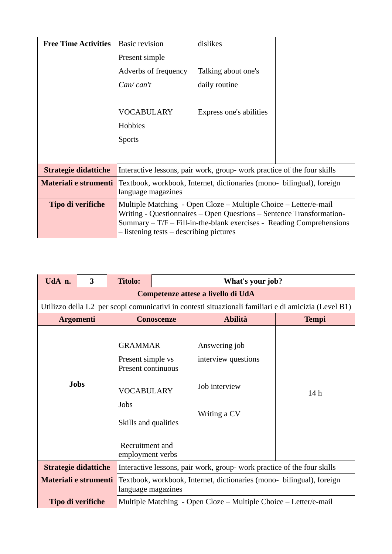| <b>Free Time Activities</b> | <b>Basic revision</b>                                                                                                                          | dislikes                |  |  |
|-----------------------------|------------------------------------------------------------------------------------------------------------------------------------------------|-------------------------|--|--|
|                             | Present simple                                                                                                                                 |                         |  |  |
|                             | Adverbs of frequency                                                                                                                           | Talking about one's     |  |  |
|                             | Can/can't                                                                                                                                      | daily routine           |  |  |
|                             |                                                                                                                                                |                         |  |  |
|                             | <b>VOCABULARY</b>                                                                                                                              | Express one's abilities |  |  |
|                             | Hobbies                                                                                                                                        |                         |  |  |
|                             | <b>Sports</b>                                                                                                                                  |                         |  |  |
|                             |                                                                                                                                                |                         |  |  |
| <b>Strategie didattiche</b> | Interactive lessons, pair work, group- work practice of the four skills                                                                        |                         |  |  |
| Materiali e strumenti       | Textbook, workbook, Internet, dictionaries (mono- bilingual), foreign<br>language magazines                                                    |                         |  |  |
| Tipo di verifiche           | Multiple Matching - Open Cloze – Multiple Choice – Letter/e-mail                                                                               |                         |  |  |
|                             | Writing - Questionnaires – Open Questions – Sentence Transformation-<br>$Summary - T/F - Fill-in-the-blank exercises - Reading Comprehensions$ |                         |  |  |
|                             | - listening tests – describing pictures                                                                                                        |                         |  |  |

| UdA n.                             | $\overline{\mathbf{3}}$                                                                              | <b>Titolo:</b>                                                                                                                                        | What's your job?                                                                            |                                                                       |              |  |  |  |
|------------------------------------|------------------------------------------------------------------------------------------------------|-------------------------------------------------------------------------------------------------------------------------------------------------------|---------------------------------------------------------------------------------------------|-----------------------------------------------------------------------|--------------|--|--|--|
| Competenze attese a livello di UdA |                                                                                                      |                                                                                                                                                       |                                                                                             |                                                                       |              |  |  |  |
|                                    | Utilizzo della L2 per scopi comunicativi in contesti situazionali familiari e di amicizia (Level B1) |                                                                                                                                                       |                                                                                             |                                                                       |              |  |  |  |
| <b>Argomenti</b>                   |                                                                                                      |                                                                                                                                                       | <b>Conoscenze</b>                                                                           | <b>Abilità</b>                                                        | <b>Tempi</b> |  |  |  |
| <b>Jobs</b>                        |                                                                                                      | <b>GRAMMAR</b><br>Present simple vs<br>Present continuous<br><b>VOCABULARY</b><br>Jobs<br>Skills and qualities<br>Recruitment and<br>employment verbs |                                                                                             | Answering job<br>interview questions<br>Job interview<br>Writing a CV | 14h          |  |  |  |
| <b>Strategie didattiche</b>        |                                                                                                      |                                                                                                                                                       | Interactive lessons, pair work, group- work practice of the four skills                     |                                                                       |              |  |  |  |
| Materiali e strumenti              |                                                                                                      |                                                                                                                                                       | Textbook, workbook, Internet, dictionaries (mono- bilingual), foreign<br>language magazines |                                                                       |              |  |  |  |
| Tipo di verifiche                  |                                                                                                      |                                                                                                                                                       | Multiple Matching - Open Cloze – Multiple Choice – Letter/e-mail                            |                                                                       |              |  |  |  |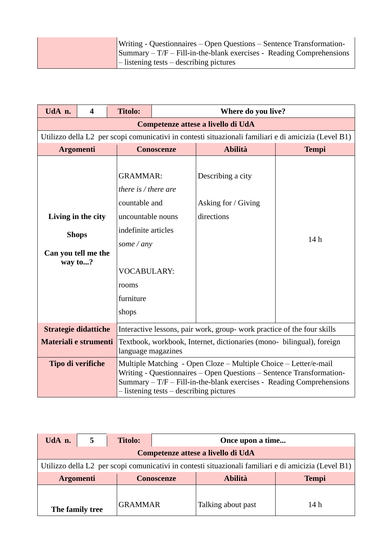|  | Writing - Questionnaires – Open Questions – Sentence Transformation-                               |
|--|----------------------------------------------------------------------------------------------------|
|  | $\text{Summary} - \text{T/F} - \text{Fill-in-the-blank exercises} - \text{Reading Comprehensions}$ |
|  | $\vert$ – listening tests – describing pictures                                                    |

| UdA n.                                                                                   | $\overline{\mathbf{4}}$                                                                              | <b>Titolo:</b>                                                                                                                                                                   | Where do you live?                                                                                                                                                                                                                                           |                                                        |              |  |  |  |  |
|------------------------------------------------------------------------------------------|------------------------------------------------------------------------------------------------------|----------------------------------------------------------------------------------------------------------------------------------------------------------------------------------|--------------------------------------------------------------------------------------------------------------------------------------------------------------------------------------------------------------------------------------------------------------|--------------------------------------------------------|--------------|--|--|--|--|
|                                                                                          | Competenze attese a livello di UdA                                                                   |                                                                                                                                                                                  |                                                                                                                                                                                                                                                              |                                                        |              |  |  |  |  |
|                                                                                          | Utilizzo della L2 per scopi comunicativi in contesti situazionali familiari e di amicizia (Level B1) |                                                                                                                                                                                  |                                                                                                                                                                                                                                                              |                                                        |              |  |  |  |  |
|                                                                                          |                                                                                                      |                                                                                                                                                                                  | <b>Conoscenze</b>                                                                                                                                                                                                                                            | <b>Abilità</b>                                         | <b>Tempi</b> |  |  |  |  |
| <b>Argomenti</b><br>Living in the city<br><b>Shops</b><br>Can you tell me the<br>way to? |                                                                                                      | <b>GRAMMAR:</b><br>there is $/$ there are<br>countable and<br>uncountable nouns<br>indefinite articles<br>some $\angle$ any<br><b>VOCABULARY:</b><br>rooms<br>furniture<br>shops |                                                                                                                                                                                                                                                              | Describing a city<br>Asking for / Giving<br>directions | 14h          |  |  |  |  |
| <b>Strategie didattiche</b>                                                              |                                                                                                      |                                                                                                                                                                                  | Interactive lessons, pair work, group- work practice of the four skills                                                                                                                                                                                      |                                                        |              |  |  |  |  |
| Materiali e strumenti                                                                    |                                                                                                      |                                                                                                                                                                                  | Textbook, workbook, Internet, dictionaries (mono- bilingual), foreign<br>language magazines                                                                                                                                                                  |                                                        |              |  |  |  |  |
|                                                                                          | Tipo di verifiche                                                                                    |                                                                                                                                                                                  | Multiple Matching - Open Cloze – Multiple Choice – Letter/e-mail<br>Writing - Questionnaires – Open Questions – Sentence Transformation-<br>Summary $-T/F$ – Fill-in-the-blank exercises - Reading Comprehensions<br>- listening tests – describing pictures |                                                        |              |  |  |  |  |

| UdA n.           |                                                                                                      | <b>Titolo:</b> | Once upon a time  |                    |              |  |  |  |
|------------------|------------------------------------------------------------------------------------------------------|----------------|-------------------|--------------------|--------------|--|--|--|
|                  | Competenze attese a livello di UdA                                                                   |                |                   |                    |              |  |  |  |
|                  | Utilizzo della L2 per scopi comunicativi in contesti situazionali familiari e di amicizia (Level B1) |                |                   |                    |              |  |  |  |
| <b>Argomenti</b> |                                                                                                      |                | <b>Conoscenze</b> | <b>Abilità</b>     | <b>Tempi</b> |  |  |  |
|                  |                                                                                                      |                |                   |                    |              |  |  |  |
| The family tree  |                                                                                                      | <b>GRAMMAR</b> |                   | Talking about past | 14 h         |  |  |  |

 $\overline{\phantom{a}}$